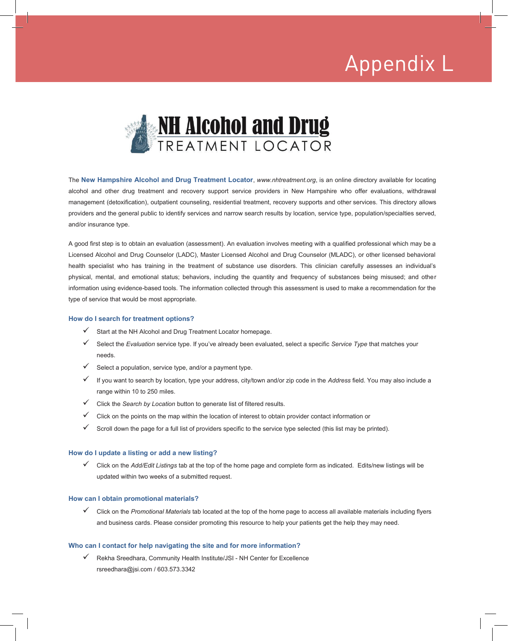### Appendix L Appendix L



The **New Hampshire Alcohol and Drug Treatment Locator**, *www.nhtreatment.org*, is an online directory available for locating alcohol and other drug treatment and recovery support service providers in New Hampshire who offer evaluations, withdrawal management (detoxification), outpatient counseling, residential treatment, recovery supports and other services. This directory allows providers and the general public to identify services and narrow search results by location, service type, population/specialties served, and/or insurance type.

A good first step is to obtain an evaluation (assessment). An evaluation involves meeting with a qualified professional which may be a Licensed Alcohol and Drug Counselor (LADC), Master Licensed Alcohol and Drug Counselor (MLADC), or other licensed behavioral health specialist who has training in the treatment of substance use disorders. This clinician carefully assesses an individual's physical, mental, and emotional status; behaviors, including the quantity and frequency of substances being misused; and other information using evidence-based tools. The information collected through this assessment is used to make a recommendation for the type of service that would be most appropriate.

#### **How do I search for treatment options?**

- $\checkmark$  Start at the NH Alcohol and Drug Treatment Locator homepage.
- Select the *Evaluation* service type. If you've already been evaluated, select a specific *Service Type* that matches your needs.
- $\checkmark$  Select a population, service type, and/or a payment type.
- If you want to search by location, type your address, city/town and/or zip code in the *Address* field. You may also include a range within 10 to 250 miles.
- Click the *Search by Location* button to generate list of filtered results.
- $\checkmark$  Click on the points on the map within the location of interest to obtain provider contact information or
- Scroll down the page for a full list of providers specific to the service type selected (this list may be printed).

#### **How do I update a listing or add a new listing?**

 Click on the *Add/Edit Listings* tab at the top of the home page and complete form as indicated. Edits/new listings will be updated within two weeks of a submitted request.

#### **How can I obtain promotional materials?**

 Click on the *Promotional Materials* tab located at the top of the home page to access all available materials including flyers and business cards. Please consider promoting this resource to help your patients get the help they may need.

#### **Who can I contact for help navigating the site and for more information?**

 $\checkmark$  Rekha Sreedhara, Community Health Institute/JSI - NH Center for Excellence rsreedhara@jsi.com / 603.573.3342